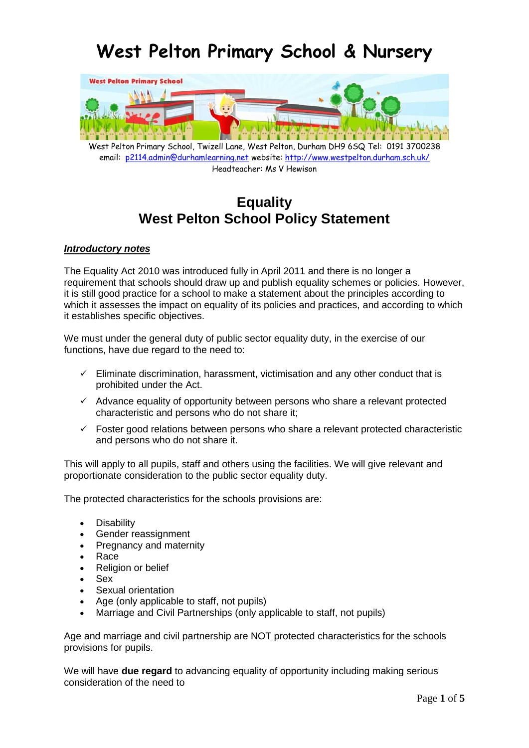# **West Pelton Primary School & Nursery**



West Pelton Primary School, Twizell Lane, West Pelton, Durham DH9 6SQ Tel: 0191 3700238 email: [p2114.admin@durhamlearning.net](mailto:p2114.admin@durhamlearning.net) website[: http://www.westpelton.durham.sch.uk/](http://www.westpelton.durham.sch.uk/) Headteacher: Ms V Hewison

# **Equality West Pelton School Policy Statement**

#### *Introductory notes*

The Equality Act 2010 was introduced fully in April 2011 and there is no longer a requirement that schools should draw up and publish equality schemes or policies. However, it is still good practice for a school to make a statement about the principles according to which it assesses the impact on equality of its policies and practices, and according to which it establishes specific objectives.

We must under the general duty of public sector equality duty, in the exercise of our functions, have due regard to the need to:

- $\checkmark$  Eliminate discrimination, harassment, victimisation and any other conduct that is prohibited under the Act.
- $\checkmark$  Advance equality of opportunity between persons who share a relevant protected characteristic and persons who do not share it;
- $\checkmark$  Foster good relations between persons who share a relevant protected characteristic and persons who do not share it.

This will apply to all pupils, staff and others using the facilities. We will give relevant and proportionate consideration to the public sector equality duty.

The protected characteristics for the schools provisions are:

- **Disability**
- Gender reassignment
- Pregnancy and maternity
- Race
- Religion or belief
- Sex
- Sexual orientation
- Age (only applicable to staff, not pupils)
- Marriage and Civil Partnerships (only applicable to staff, not pupils)

Age and marriage and civil partnership are NOT protected characteristics for the schools provisions for pupils.

We will have **due regard** to advancing equality of opportunity including making serious consideration of the need to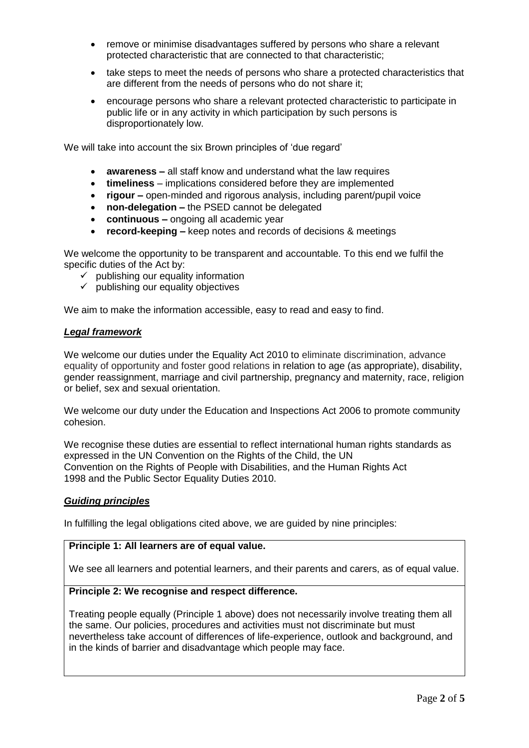- remove or minimise disadvantages suffered by persons who share a relevant protected characteristic that are connected to that characteristic;
- take steps to meet the needs of persons who share a protected characteristics that are different from the needs of persons who do not share it;
- encourage persons who share a relevant protected characteristic to participate in public life or in any activity in which participation by such persons is disproportionately low.

We will take into account the six Brown principles of 'due regard'

- **awareness –** all staff know and understand what the law requires
- **timeliness**  implications considered before they are implemented
- **rigour –** open-minded and rigorous analysis, including parent/pupil voice
- **non-delegation –** the PSED cannot be delegated
- **continuous –** ongoing all academic year
- **record-keeping –** keep notes and records of decisions & meetings

We welcome the opportunity to be transparent and accountable. To this end we fulfil the specific duties of the Act by:

- $\checkmark$  publishing our equality information
- $\checkmark$  publishing our equality objectives

We aim to make the information accessible, easy to read and easy to find.

# *Legal framework*

We welcome our duties under the Equality Act 2010 to eliminate discrimination, advance equality of opportunity and foster good relations in relation to age (as appropriate), disability, gender reassignment, marriage and civil partnership, pregnancy and maternity, race, religion or belief, sex and sexual orientation.

We welcome our duty under the Education and Inspections Act 2006 to promote community cohesion.

We recognise these duties are essential to reflect international human rights standards as expressed in the UN Convention on the Rights of the Child, the UN Convention on the Rights of People with Disabilities, and the Human Rights Act 1998 and the Public Sector Equality Duties 2010.

#### *Guiding principles*

In fulfilling the legal obligations cited above, we are guided by nine principles:

#### **Principle 1: All learners are of equal value.**

We see all learners and potential learners, and their parents and carers, as of equal value.

# **Principle 2: We recognise and respect difference.**

Treating people equally (Principle 1 above) does not necessarily involve treating them all the same. Our policies, procedures and activities must not discriminate but must nevertheless take account of differences of life-experience, outlook and background, and in the kinds of barrier and disadvantage which people may face.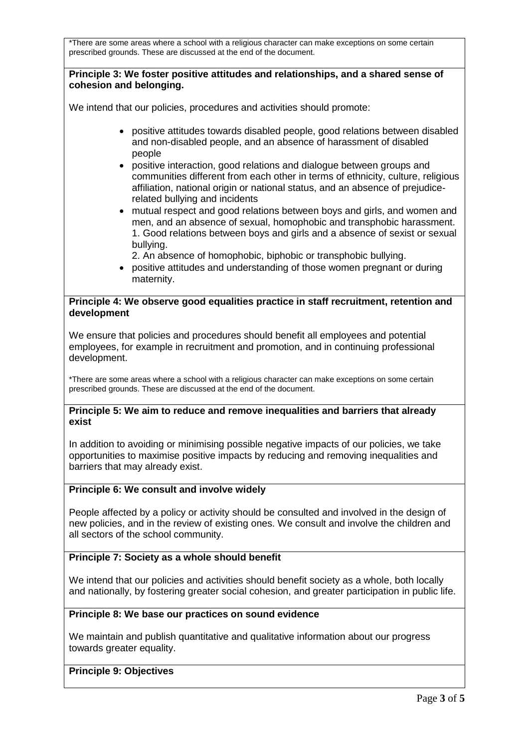\*There are some areas where a school with a religious character can make exceptions on some certain prescribed grounds. These are discussed at the end of the document.

# **Principle 3: We foster positive attitudes and relationships, and a shared sense of cohesion and belonging.**

We intend that our policies, procedures and activities should promote:

- positive attitudes towards disabled people, good relations between disabled and non-disabled people, and an absence of harassment of disabled people
- positive interaction, good relations and dialogue between groups and communities different from each other in terms of ethnicity, culture, religious affiliation, national origin or national status, and an absence of prejudicerelated bullying and incidents
- mutual respect and good relations between boys and girls, and women and men, and an absence of sexual, homophobic and transphobic harassment. 1. Good relations between boys and girls and a absence of sexist or sexual bullying.

2. An absence of homophobic, biphobic or transphobic bullying.

 positive attitudes and understanding of those women pregnant or during maternity.

# **Principle 4: We observe good equalities practice in staff recruitment, retention and development**

We ensure that policies and procedures should benefit all employees and potential employees, for example in recruitment and promotion, and in continuing professional development.

\*There are some areas where a school with a religious character can make exceptions on some certain prescribed grounds. These are discussed at the end of the document.

# **Principle 5: We aim to reduce and remove inequalities and barriers that already exist**

In addition to avoiding or minimising possible negative impacts of our policies, we take opportunities to maximise positive impacts by reducing and removing inequalities and barriers that may already exist.

# **Principle 6: We consult and involve widely**

People affected by a policy or activity should be consulted and involved in the design of new policies, and in the review of existing ones. We consult and involve the children and all sectors of the school community.

# **Principle 7: Society as a whole should benefit**

We intend that our policies and activities should benefit society as a whole, both locally and nationally, by fostering greater social cohesion, and greater participation in public life.

# **Principle 8: We base our practices on sound evidence**

We maintain and publish quantitative and qualitative information about our progress towards greater equality.

#### **Principle 9: Objectives**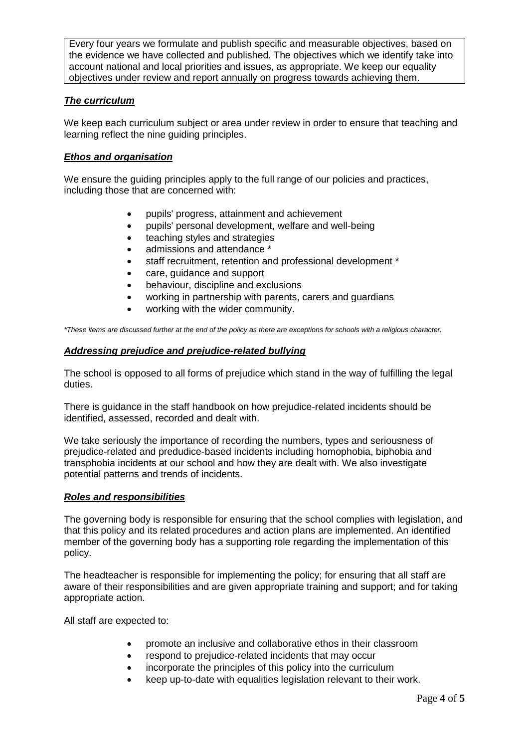Every four years we formulate and publish specific and measurable objectives, based on the evidence we have collected and published. The objectives which we identify take into account national and local priorities and issues, as appropriate. We keep our equality objectives under review and report annually on progress towards achieving them.

# *The curriculum*

We keep each curriculum subject or area under review in order to ensure that teaching and learning reflect the nine guiding principles.

# *Ethos and organisation*

We ensure the quiding principles apply to the full range of our policies and practices, including those that are concerned with:

- pupils' progress, attainment and achievement
- pupils' personal development, welfare and well-being
- teaching styles and strategies
- admissions and attendance  $*$
- staff recruitment, retention and professional development \*
- care, quidance and support
- behaviour, discipline and exclusions
- working in partnership with parents, carers and guardians
- working with the wider community.

*\*These items are discussed further at the end of the policy as there are exceptions for schools with a religious character.*

# *Addressing prejudice and prejudice-related bullying*

The school is opposed to all forms of prejudice which stand in the way of fulfilling the legal duties.

There is guidance in the staff handbook on how prejudice-related incidents should be identified, assessed, recorded and dealt with.

We take seriously the importance of recording the numbers, types and seriousness of prejudice-related and predudice-based incidents including homophobia, biphobia and transphobia incidents at our school and how they are dealt with. We also investigate potential patterns and trends of incidents.

#### *Roles and responsibilities*

The governing body is responsible for ensuring that the school complies with legislation, and that this policy and its related procedures and action plans are implemented. An identified member of the governing body has a supporting role regarding the implementation of this policy.

The headteacher is responsible for implementing the policy; for ensuring that all staff are aware of their responsibilities and are given appropriate training and support; and for taking appropriate action.

All staff are expected to:

- promote an inclusive and collaborative ethos in their classroom
- respond to prejudice-related incidents that may occur
- incorporate the principles of this policy into the curriculum
- keep up-to-date with equalities legislation relevant to their work.